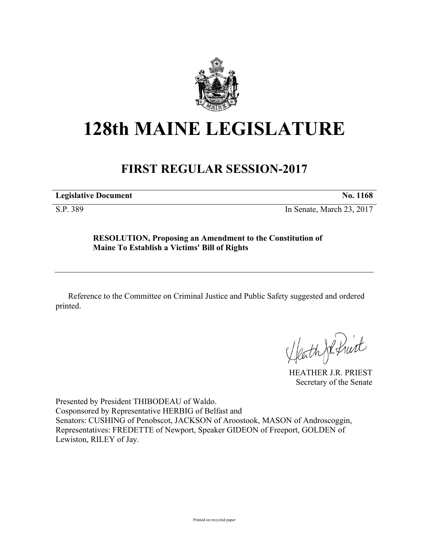

## **128th MAINE LEGISLATURE**

## **FIRST REGULAR SESSION-2017**

**Legislative Document No. 1168**

S.P. 389 In Senate, March 23, 2017

## **RESOLUTION, Proposing an Amendment to the Constitution of Maine To Establish a Victims' Bill of Rights**

Reference to the Committee on Criminal Justice and Public Safety suggested and ordered printed.

HEATHER J.R. PRIEST

Secretary of the Senate

Presented by President THIBODEAU of Waldo. Cosponsored by Representative HERBIG of Belfast and Senators: CUSHING of Penobscot, JACKSON of Aroostook, MASON of Androscoggin, Representatives: FREDETTE of Newport, Speaker GIDEON of Freeport, GOLDEN of Lewiston, RILEY of Jay.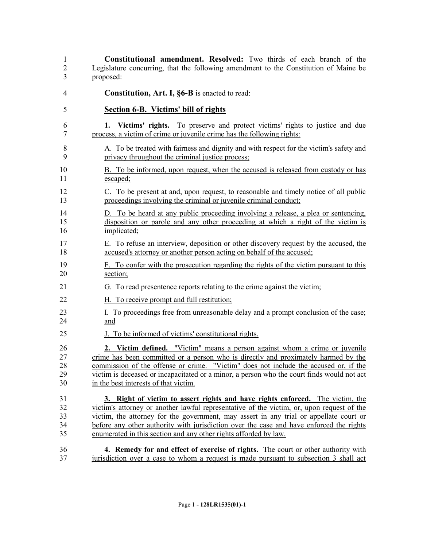**Constitutional amendment. Resolved:** Two thirds of each branch of the Legislature concurring, that the following amendment to the Constitution of Maine be proposed:

- **Constitution, Art. I, §6-B** is enacted to read:
- **Section 6-B. Victims' bill of rights**
- **1. Victims' rights.** To preserve and protect victims' rights to justice and due process, a victim of crime or juvenile crime has the following rights:
- A. To be treated with fairness and dignity and with respect for the victim's safety and privacy throughout the criminal justice process;
- B. To be informed, upon request, when the accused is released from custody or has 11 escaped;
- C. To be present at and, upon request, to reasonable and timely notice of all public proceedings involving the criminal or juvenile criminal conduct;
- D. To be heard at any public proceeding involving a release, a plea or sentencing, disposition or parole and any other proceeding at which a right of the victim is implicated;
- E. To refuse an interview, deposition or other discovery request by the accused, the accused's attorney or another person acting on behalf of the accused;
- F. To confer with the prosecution regarding the rights of the victim pursuant to this section;
- G. To read presentence reports relating to the crime against the victim;
- H. To receive prompt and full restitution;
- I. To proceedings free from unreasonable delay and a prompt conclusion of the case; and
- J. To be informed of victims' constitutional rights.

 **2. Victim defined.** "Victim" means a person against whom a crime or juvenile crime has been committed or a person who is directly and proximately harmed by the commission of the offense or crime. "Victim" does not include the accused or, if the victim is deceased or incapacitated or a minor, a person who the court finds would not act in the best interests of that victim.

 **3. Right of victim to assert rights and have rights enforced.** The victim, the victim's attorney or another lawful representative of the victim, or, upon request of the victim, the attorney for the government, may assert in any trial or appellate court or before any other authority with jurisdiction over the case and have enforced the rights enumerated in this section and any other rights afforded by law.

 **4. Remedy for and effect of exercise of rights.** The court or other authority with jurisdiction over a case to whom a request is made pursuant to subsection 3 shall act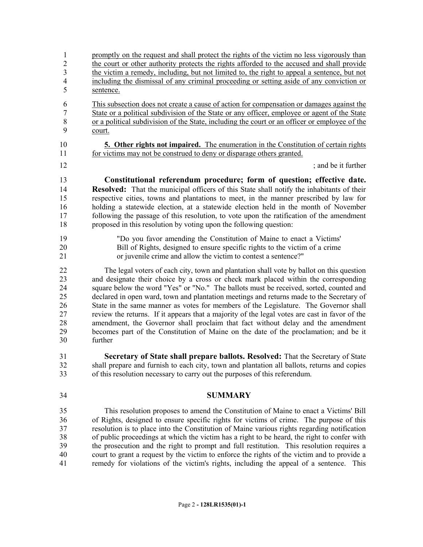promptly on the request and shall protect the rights of the victim no less vigorously than the court or other authority protects the rights afforded to the accused and shall provide the victim a remedy, including, but not limited to, the right to appeal a sentence, but not including the dismissal of any criminal proceeding or setting aside of any conviction or sentence. This subsection does not create a cause of action for compensation or damages against the State or a political subdivision of the State or any officer, employee or agent of the State or a political subdivision of the State, including the court or an officer or employee of the court. **5. Other rights not impaired.** The enumeration in the Constitution of certain rights for victims may not be construed to deny or disparage others granted. 12 ind be it further and be it further and be it further **Constitutional referendum procedure; form of question; effective date. Resolved:** That the municipal officers of this State shall notify the inhabitants of their respective cities, towns and plantations to meet, in the manner prescribed by law for holding a statewide election, at a statewide election held in the month of November following the passage of this resolution, to vote upon the ratification of the amendment proposed in this resolution by voting upon the following question: "Do you favor amending the Constitution of Maine to enact a Victims' Bill of Rights, designed to ensure specific rights to the victim of a crime or juvenile crime and allow the victim to contest a sentence?" The legal voters of each city, town and plantation shall vote by ballot on this question and designate their choice by a cross or check mark placed within the corresponding square below the word "Yes" or "No." The ballots must be received, sorted, counted and declared in open ward, town and plantation meetings and returns made to the Secretary of State in the same manner as votes for members of the Legislature. The Governor shall review the returns. If it appears that a majority of the legal votes are cast in favor of the amendment, the Governor shall proclaim that fact without delay and the amendment becomes part of the Constitution of Maine on the date of the proclamation; and be it

further

 **Secretary of State shall prepare ballots. Resolved:** That the Secretary of State shall prepare and furnish to each city, town and plantation all ballots, returns and copies of this resolution necessary to carry out the purposes of this referendum.

## **SUMMARY**

 This resolution proposes to amend the Constitution of Maine to enact a Victims' Bill of Rights, designed to ensure specific rights for victims of crime. The purpose of this resolution is to place into the Constitution of Maine various rights regarding notification of public proceedings at which the victim has a right to be heard, the right to confer with the prosecution and the right to prompt and full restitution. This resolution requires a court to grant a request by the victim to enforce the rights of the victim and to provide a remedy for violations of the victim's rights, including the appeal of a sentence. This